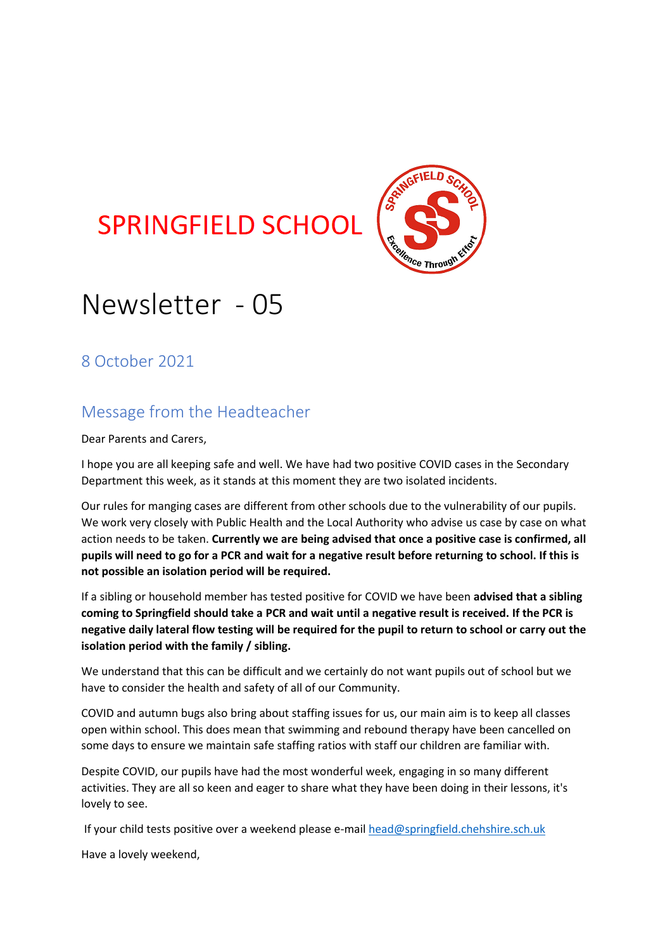# **SPRINGFIELD SCHOOL**



# Newsletter - 05

8 October 2021

## Message from the Headteacher

Dear Parents and Carers,

I hope you are all keeping safe and well. We have had two positive COVID cases in the Secondary Department this week, as it stands at this moment they are two isolated incidents.

Our rules for manging cases are different from other schools due to the vulnerability of our pupils. We work very closely with Public Health and the Local Authority who advise us case by case on what action needs to be taken. **Currently we are being advised that once a positive case is confirmed, all pupils will need to go for a PCR and wait for a negative result before returning to school. If this is not possible an isolation period will be required.**

If a sibling or household member has tested positive for COVID we have been **advised that a sibling coming to Springfield should take a PCR and wait until a negative result is received. If the PCR is negative daily lateral flow testing will be required for the pupil to return to school or carry out the isolation period with the family / sibling.** 

We understand that this can be difficult and we certainly do not want pupils out of school but we have to consider the health and safety of all of our Community.

COVID and autumn bugs also bring about staffing issues for us, our main aim is to keep all classes open within school. This does mean that swimming and rebound therapy have been cancelled on some days to ensure we maintain safe staffing ratios with staff our children are familiar with.

Despite COVID, our pupils have had the most wonderful week, engaging in so many different activities. They are all so keen and eager to share what they have been doing in their lessons, it's lovely to see.

If your child tests positive over a weekend please e-mai[l head@springfield.chehshire.sch.uk](mailto:head@springfield.chehshire.sch.uk)

Have a lovely weekend,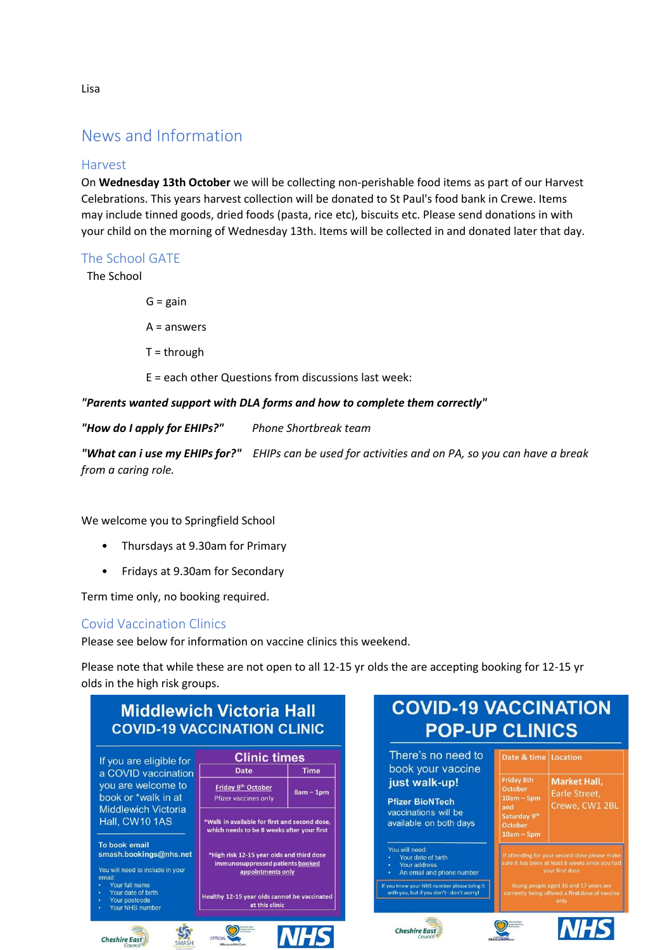### News and Information

### Harvest

On **Wednesday 13th October** we will be collecting non-perishable food items as part of our Harvest Celebrations. This years harvest collection will be donated to St Paul's food bank in Crewe. Items may include tinned goods, dried foods (pasta, rice etc), biscuits etc. Please send donations in with your child on the morning of Wednesday 13th. Items will be collected in and donated later that day.

### The School GATE

The School

 $G = gain$ 

A = answers

 $T =$ through

E = each other Questions from discussions last week:

*"Parents wanted support with DLA forms and how to complete them correctly"*

*"How do I apply for EHIPs?" Phone Shortbreak team*

*"What can i use my EHIPs for?" EHIPs can be used for activities and on PA, so you can have a break from a caring role.*

We welcome you to Springfield School

- Thursdays at 9.30am for Primary
- Fridays at 9.30am for Secondary

Term time only, no booking required.

### Covid Vaccination Clinics

Please see below for information on vaccine clinics this weekend.

Please note that while these are not open to all 12-15 yr olds the are accepting booking for 12-15 yr olds in the high risk groups.



Lisa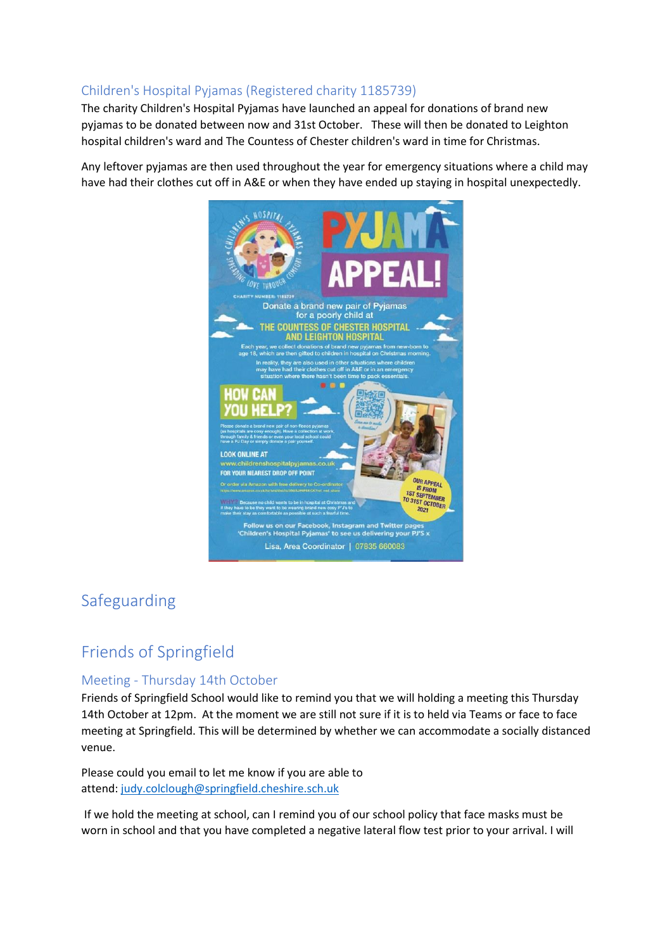### Children's Hospital Pyjamas (Registered charity 1185739)

The charity Children's Hospital Pyjamas have launched an appeal for donations of brand new pyjamas to be donated between now and 31st October. These will then be donated to Leighton hospital children's ward and The Countess of Chester children's ward in time for Christmas.

Any leftover pyjamas are then used throughout the year for emergency situations where a child may have had their clothes cut off in A&E or when they have ended up staying in hospital unexpectedly.



### Safeguarding

## Friends of Springfield

### Meeting - Thursday 14th October

Friends of Springfield School would like to remind you that we will holding a meeting this Thursday 14th October at 12pm. At the moment we are still not sure if it is to held via Teams or face to face meeting at Springfield. This will be determined by whether we can accommodate a socially distanced venue.

Please could you email to let me know if you are able to attend: [judy.colclough@springfield.cheshire.sch.uk](https://judy.colclough@springfield.cheshire.sch.uk)

If we hold the meeting at school, can I remind you of our school policy that face masks must be worn in school and that you have completed a negative lateral flow test prior to your arrival. I will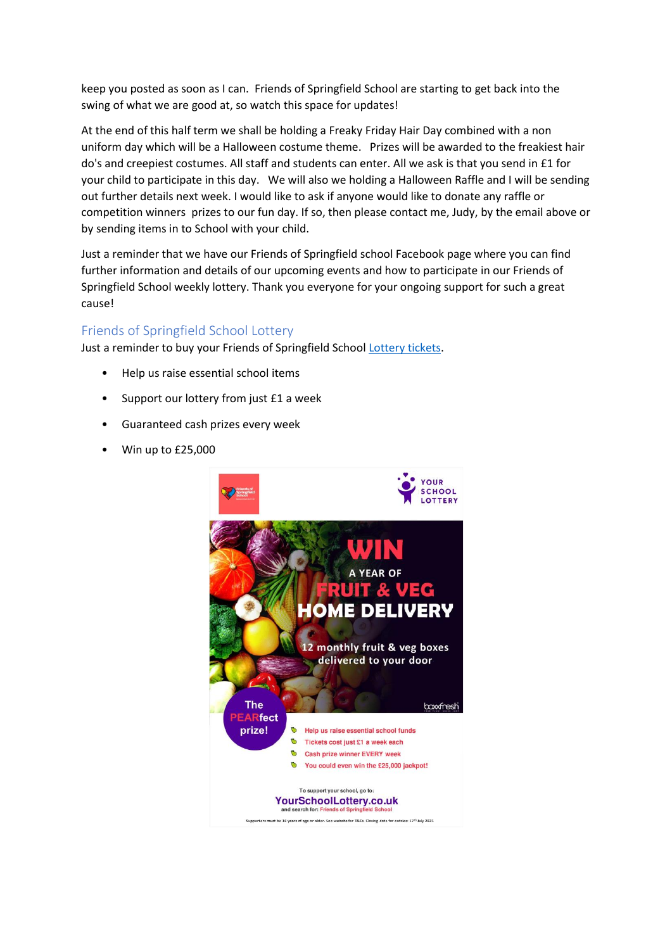keep you posted as soon as I can. Friends of Springfield School are starting to get back into the swing of what we are good at, so watch this space for updates!

At the end of this half term we shall be holding a Freaky Friday Hair Day combined with a non uniform day which will be a Halloween costume theme. Prizes will be awarded to the freakiest hair do's and creepiest costumes. All staff and students can enter. All we ask is that you send in £1 for your child to participate in this day. We will also we holding a Halloween Raffle and I will be sending out further details next week. I would like to ask if anyone would like to donate any raffle or competition winners prizes to our fun day. If so, then please contact me, Judy, by the email above or by sending items in to School with your child.

Just a reminder that we have our Friends of Springfield school Facebook page where you can find further information and details of our upcoming events and how to participate in our Friends of Springfield School weekly lottery. Thank you everyone for your ongoing support for such a great cause!

### Friends of Springfield School Lottery

Just a reminder to buy your Friends of Springfield Schoo[l Lottery tickets.](https://www.yourschoollottery.co.uk/lottery/school/friends-of-springfield-school)

- Help us raise essential school items
- Support our lottery from just £1 a week
- Guaranteed cash prizes every week
- Win up to £25,000

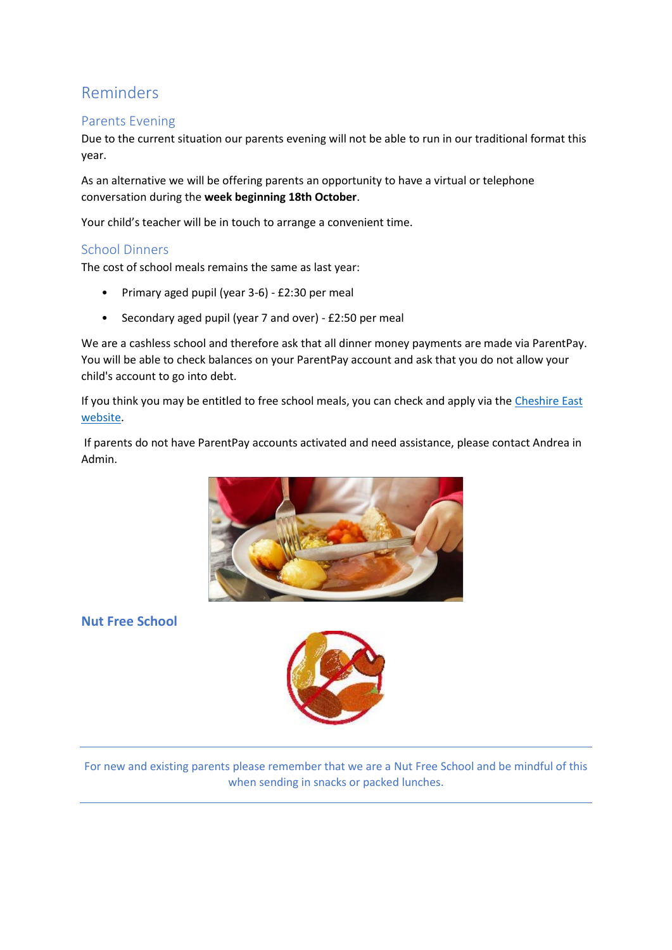### Reminders

### Parents Evening

Due to the current situation our parents evening will not be able to run in our traditional format this year.

As an alternative we will be offering parents an opportunity to have a virtual or telephone conversation during the **week beginning 18th October**.

Your child's teacher will be in touch to arrange a convenient time.

### School Dinners

The cost of school meals remains the same as last year:

- Primary aged pupil (year 3-6) £2:30 per meal
- Secondary aged pupil (year 7 and over) £2:50 per meal

We are a cashless school and therefore ask that all dinner money payments are made via ParentPay. You will be able to check balances on your ParentPay account and ask that you do not allow your child's account to go into debt.

If you think you may be entitled to free school meals, you can check and apply via the [Cheshire East](https://www.cheshireeast.gov.uk/schools/free_school_meals.aspx)  [website.](https://www.cheshireeast.gov.uk/schools/free_school_meals.aspx)

If parents do not have ParentPay accounts activated and need assistance, please contact Andrea in Admin.



**Nut Free School**



For new and existing parents please remember that we are a Nut Free School and be mindful of this when sending in snacks or packed lunches.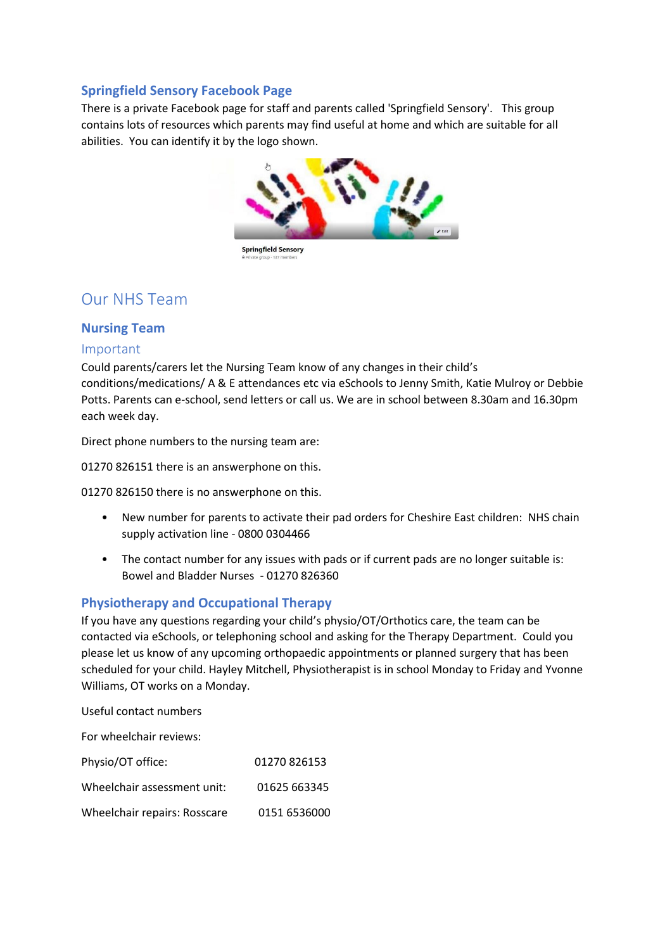### **Springfield Sensory Facebook Page**

There is a private Facebook page for staff and parents called 'Springfield Sensory'. This group contains lots of resources which parents may find useful at home and which are suitable for all abilities. You can identify it by the logo shown.



**Springfield Sensory** 

### Our NHS Team

### **Nursing Team**

#### Important

Could parents/carers let the Nursing Team know of any changes in their child's conditions/medications/ A & E attendances etc via eSchools to Jenny Smith, Katie Mulroy or Debbie Potts. Parents can e-school, send letters or call us. We are in school between 8.30am and 16.30pm each week day.

Direct phone numbers to the nursing team are:

01270 826151 there is an answerphone on this.

01270 826150 there is no answerphone on this.

- New number for parents to activate their pad orders for Cheshire East children: NHS chain supply activation line - 0800 0304466
- The contact number for any issues with pads or if current pads are no longer suitable is: Bowel and Bladder Nurses - 01270 826360

#### **Physiotherapy and Occupational Therapy**

If you have any questions regarding your child's physio/OT/Orthotics care, the team can be contacted via eSchools, or telephoning school and asking for the Therapy Department. Could you please let us know of any upcoming orthopaedic appointments or planned surgery that has been scheduled for your child. Hayley Mitchell, Physiotherapist is in school Monday to Friday and Yvonne Williams, OT works on a Monday.

Useful contact numbers

For wheelchair reviews:

| Physio/OT office:            | 01270826153  |
|------------------------------|--------------|
| Wheelchair assessment unit:  | 01625 663345 |
| Wheelchair repairs: Rosscare | 0151 6536000 |